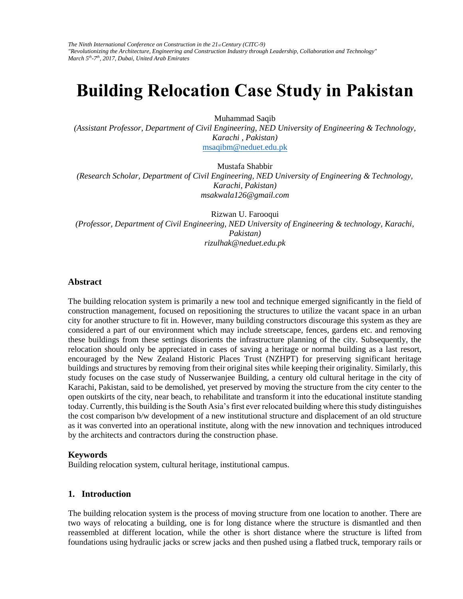*The Ninth International Conference on Construction in the 21st Century (CITC-9) "Revolutionizing the Architecture, Engineering and Construction Industry through Leadership, Collaboration and Technology" March 5th-7th, 2017, Dubai, United Arab Emirates* 

# **Building Relocation Case Study in Pakistan**

Muhammad Saqib

*(Assistant Professor, Department of Civil Engineering, NED University of Engineering & Technology, Karachi , Pakistan)* 

msaqibm@neduet.edu.pk

Mustafa Shabbir

*(Research Scholar, Department of Civil Engineering, NED University of Engineering & Technology, Karachi, Pakistan) msakwala126@gmail.com*

Rizwan U. Farooqui *(Professor, Department of Civil Engineering, NED University of Engineering & technology, Karachi, Pakistan) rizulhak@neduet.edu.pk*

#### **Abstract**

The building relocation system is primarily a new tool and technique emerged significantly in the field of construction management, focused on repositioning the structures to utilize the vacant space in an urban city for another structure to fit in. However, many building constructors discourage this system as they are considered a part of our environment which may include streetscape, fences, gardens etc. and removing these buildings from these settings disorients the infrastructure planning of the city. Subsequently, the relocation should only be appreciated in cases of saving a heritage or normal building as a last resort, encouraged by the New Zealand Historic Places Trust (NZHPT) for preserving significant heritage buildings and structures by removing from their original sites while keeping their originality. Similarly, this study focuses on the case study of Nusserwanjee Building, a century old cultural heritage in the city of Karachi, Pakistan, said to be demolished, yet preserved by moving the structure from the city center to the open outskirts of the city, near beach, to rehabilitate and transform it into the educational institute standing today. Currently, this building is the South Asia's first ever relocated building where this study distinguishes the cost comparison b/w development of a new institutional structure and displacement of an old structure as it was converted into an operational institute, along with the new innovation and techniques introduced by the architects and contractors during the construction phase.

#### **Keywords**

Building relocation system, cultural heritage, institutional campus.

#### **1. Introduction**

The building relocation system is the process of moving structure from one location to another. There are two ways of relocating a building, one is for long distance where the structure is dismantled and then reassembled at different location, while the other is short distance where the structure is lifted from foundations using hydraulic jacks or screw jacks and then pushed using a flatbed truck, temporary rails or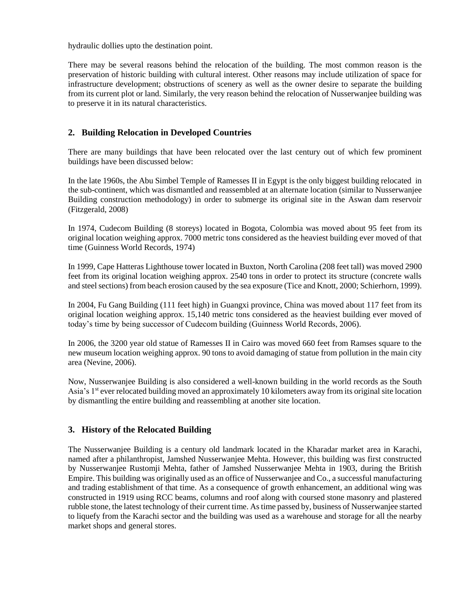hydraulic dollies upto the destination point.

There may be several reasons behind the relocation of the building. The most common reason is the preservation of historic building with cultural interest. Other reasons may include utilization of space for infrastructure development; obstructions of scenery as well as the owner desire to separate the building from its current plot or land. Similarly, the very reason behind the relocation of Nusserwanjee building was to preserve it in its natural characteristics.

# **2. Building Relocation in Developed Countries**

There are many buildings that have been relocated over the last century out of which few prominent buildings have been discussed below:

In the late 1960s, the Abu Simbel Temple of Ramesses II in Egypt is the only biggest building relocated in the sub-continent, which was dismantled and reassembled at an alternate location (similar to Nusserwanjee Building construction methodology) in order to submerge its original site in the Aswan dam reservoir (Fitzgerald, 2008)

In 1974, Cudecom Building (8 storeys) located in Bogota, Colombia was moved about 95 feet from its original location weighing approx. 7000 metric tons considered as the heaviest building ever moved of that time (Guinness World Records, 1974)

In 1999, Cape Hatteras Lighthouse tower located in Buxton, North Carolina (208 feet tall) was moved 2900 feet from its original location weighing approx. 2540 tons in order to protect its structure (concrete walls and steel sections) from beach erosion caused by the sea exposure (Tice and Knott, 2000; Schierhorn, 1999).

In 2004, Fu Gang Building (111 feet high) in Guangxi province, China was moved about 117 feet from its original location weighing approx. 15,140 metric tons considered as the heaviest building ever moved of today's time by being successor of Cudecom building (Guinness World Records, 2006).

In 2006, the 3200 year old statue of Ramesses II in Cairo was moved 660 feet from Ramses square to the new museum location weighing approx. 90 tons to avoid damaging of statue from pollution in the main city area (Nevine, 2006).

Now, Nusserwanjee Building is also considered a well-known building in the world records as the South Asia's 1<sup>st</sup> ever relocated building moved an approximately 10 kilometers away from its original site location by dismantling the entire building and reassembling at another site location.

# **3. History of the Relocated Building**

The Nusserwanjee Building is a century old landmark located in the Kharadar market area in Karachi, named after a philanthropist, Jamshed Nusserwanjee Mehta. However, this building was first constructed by Nusserwanjee Rustomji Mehta, father of Jamshed Nusserwanjee Mehta in 1903, during the British Empire. This building was originally used as an office of Nusserwanjee and Co., a successful manufacturing and trading establishment of that time. As a consequence of growth enhancement, an additional wing was constructed in 1919 using RCC beams, columns and roof along with coursed stone masonry and plastered rubble stone, the latest technology of their current time. As time passed by, business of Nusserwanjee started to liquefy from the Karachi sector and the building was used as a warehouse and storage for all the nearby market shops and general stores.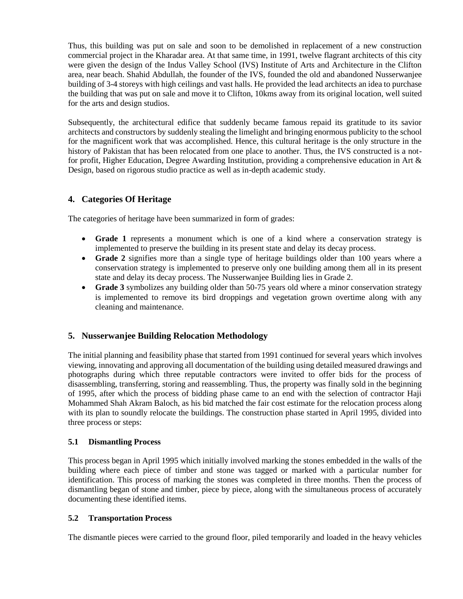Thus, this building was put on sale and soon to be demolished in replacement of a new construction commercial project in the Kharadar area. At that same time, in 1991, twelve flagrant architects of this city were given the design of the Indus Valley School (IVS) Institute of Arts and Architecture in the Clifton area, near beach. Shahid Abdullah, the founder of the IVS, founded the old and abandoned Nusserwanjee building of 3-4 storeys with high ceilings and vast halls. He provided the lead architects an idea to purchase the building that was put on sale and move it to Clifton, 10kms away from its original location, well suited for the arts and design studios.

Subsequently, the architectural edifice that suddenly became famous repaid its gratitude to its savior architects and constructors by suddenly stealing the limelight and bringing enormous publicity to the school for the magnificent work that was accomplished. Hence, this cultural heritage is the only structure in the history of Pakistan that has been relocated from one place to another. Thus, the IVS constructed is a notfor profit, Higher Education, Degree Awarding Institution, providing a comprehensive education in Art & Design, based on rigorous studio practice as well as in-depth academic study.

# **4. Categories Of Heritage**

The categories of heritage have been summarized in form of grades:

- **Grade 1** represents a monument which is one of a kind where a conservation strategy is implemented to preserve the building in its present state and delay its decay process.
- **Grade 2** signifies more than a single type of heritage buildings older than 100 years where a conservation strategy is implemented to preserve only one building among them all in its present state and delay its decay process. The Nusserwanjee Building lies in Grade 2.
- **Grade 3** symbolizes any building older than 50-75 years old where a minor conservation strategy is implemented to remove its bird droppings and vegetation grown overtime along with any cleaning and maintenance.

# **5. Nusserwanjee Building Relocation Methodology**

The initial planning and feasibility phase that started from 1991 continued for several years which involves viewing, innovating and approving all documentation of the building using detailed measured drawings and photographs during which three reputable contractors were invited to offer bids for the process of disassembling, transferring, storing and reassembling. Thus, the property was finally sold in the beginning of 1995, after which the process of bidding phase came to an end with the selection of contractor Haji Mohammed Shah Akram Baloch, as his bid matched the fair cost estimate for the relocation process along with its plan to soundly relocate the buildings. The construction phase started in April 1995, divided into three process or steps:

# **5.1 Dismantling Process**

This process began in April 1995 which initially involved marking the stones embedded in the walls of the building where each piece of timber and stone was tagged or marked with a particular number for identification. This process of marking the stones was completed in three months. Then the process of dismantling began of stone and timber, piece by piece, along with the simultaneous process of accurately documenting these identified items.

# **5.2 Transportation Process**

The dismantle pieces were carried to the ground floor, piled temporarily and loaded in the heavy vehicles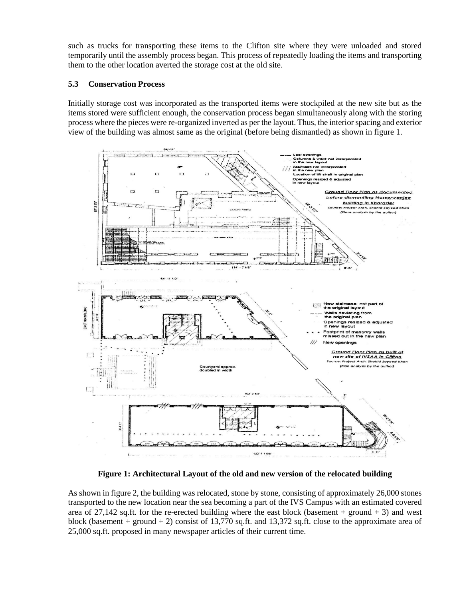such as trucks for transporting these items to the Clifton site where they were unloaded and stored temporarily until the assembly process began. This process of repeatedly loading the items and transporting them to the other location averted the storage cost at the old site.

#### **5.3 Conservation Process**

Initially storage cost was incorporated as the transported items were stockpiled at the new site but as the items stored were sufficient enough, the conservation process began simultaneously along with the storing process where the pieces were re-organized inverted as per the layout. Thus, the interior spacing and exterior view of the building was almost same as the original (before being dismantled) as shown in figure 1.



**Figure 1: Architectural Layout of the old and new version of the relocated building**

As shown in figure 2, the building was relocated, stone by stone, consisting of approximately 26,000 stones transported to the new location near the sea becoming a part of the IVS Campus with an estimated covered area of 27,142 sq.ft. for the re-erected building where the east block (basement + ground + 3) and west block (basement + ground + 2) consist of 13,770 sq.ft. and 13,372 sq.ft. close to the approximate area of 25,000 sq.ft. proposed in many newspaper articles of their current time.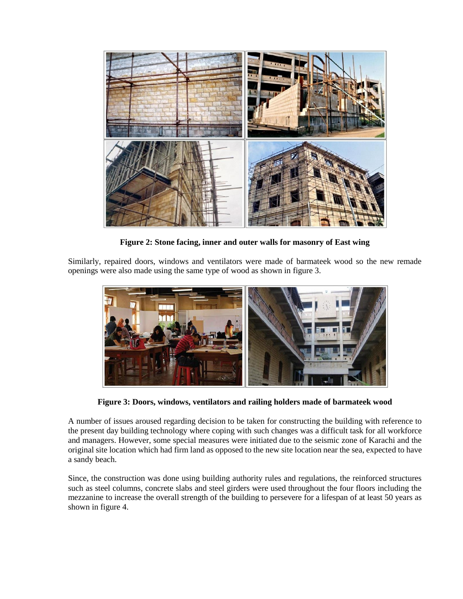

**Figure 2: Stone facing, inner and outer walls for masonry of East wing**

Similarly, repaired doors, windows and ventilators were made of barmateek wood so the new remade openings were also made using the same type of wood as shown in figure 3.



**Figure 3: Doors, windows, ventilators and railing holders made of barmateek wood**

A number of issues aroused regarding decision to be taken for constructing the building with reference to the present day building technology where coping with such changes was a difficult task for all workforce and managers. However, some special measures were initiated due to the seismic zone of Karachi and the original site location which had firm land as opposed to the new site location near the sea, expected to have a sandy beach.

Since, the construction was done using building authority rules and regulations, the reinforced structures such as steel columns, concrete slabs and steel girders were used throughout the four floors including the mezzanine to increase the overall strength of the building to persevere for a lifespan of at least 50 years as shown in figure 4.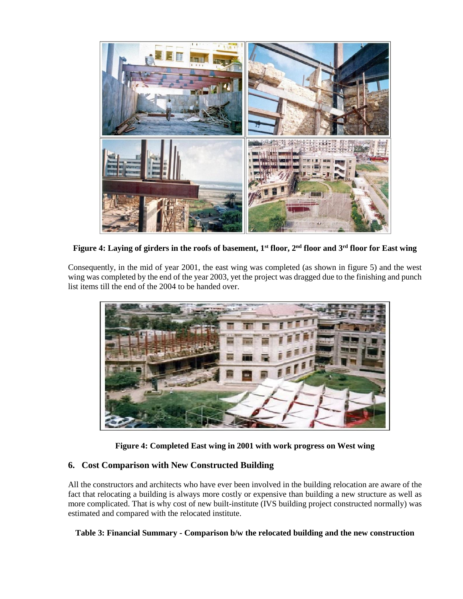

**Figure 4: Laying of girders in the roofs of basement, 1st floor, 2nd floor and 3rd floor for East wing**

Consequently, in the mid of year 2001, the east wing was completed (as shown in figure 5) and the west wing was completed by the end of the year 2003, yet the project was dragged due to the finishing and punch list items till the end of the 2004 to be handed over.



**Figure 4: Completed East wing in 2001 with work progress on West wing**

# **6. Cost Comparison with New Constructed Building**

All the constructors and architects who have ever been involved in the building relocation are aware of the fact that relocating a building is always more costly or expensive than building a new structure as well as more complicated. That is why cost of new built-institute (IVS building project constructed normally) was estimated and compared with the relocated institute.

# **Table 3: Financial Summary - Comparison b/w the relocated building and the new construction**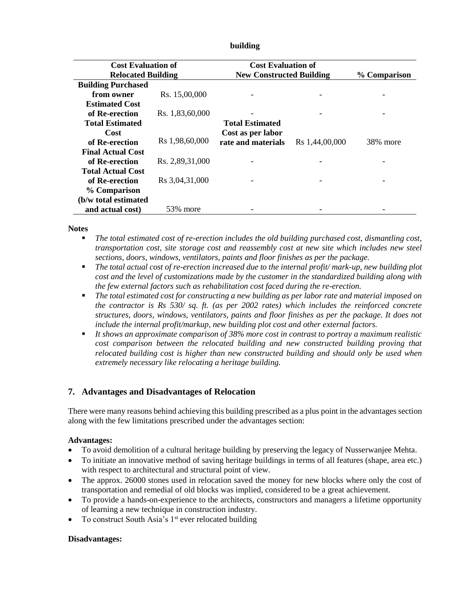| <b>Cost Evaluation of</b> |                 | <b>Cost Evaluation of</b>       |                |              |
|---------------------------|-----------------|---------------------------------|----------------|--------------|
| <b>Relocated Building</b> |                 | <b>New Constructed Building</b> |                | % Comparison |
| <b>Building Purchased</b> |                 |                                 |                |              |
| from owner                | Rs. 15,00,000   |                                 |                |              |
| <b>Estimated Cost</b>     |                 |                                 |                |              |
| of Re-erection            | Rs. 1,83,60,000 |                                 |                |              |
| <b>Total Estimated</b>    |                 | <b>Total Estimated</b>          |                |              |
| Cost                      |                 | Cost as per labor               |                |              |
| of Re-erection            | Rs 1,98,60,000  | rate and materials              | Rs 1,44,00,000 | 38% more     |
| <b>Final Actual Cost</b>  |                 |                                 |                |              |
| of Re-erection            | Rs. 2,89,31,000 |                                 |                |              |
| <b>Total Actual Cost</b>  |                 |                                 |                |              |
| of Re-erection            | Rs 3,04,31,000  |                                 |                |              |
| % Comparison              |                 |                                 |                |              |
| (b/w total estimated      |                 |                                 |                |              |
| and actual cost)          | 53% more        |                                 |                |              |

#### **building**

#### **Notes**

- *The total estimated cost of re-erection includes the old building purchased cost, dismantling cost, transportation cost, site storage cost and reassembly cost at new site which includes new steel sections, doors, windows, ventilators, paints and floor finishes as per the package.*
- *The total actual cost of re-erection increased due to the internal profit/ mark-up, new building plot cost and the level of customizations made by the customer in the standardized building along with the few external factors such as rehabilitation cost faced during the re-erection.*
- *The total estimated cost for constructing a new building as per labor rate and material imposed on the contractor is Rs 530/ sq. ft. (as per 2002 rates) which includes the reinforced concrete structures, doors, windows, ventilators, paints and floor finishes as per the package. It does not include the internal profit/markup, new building plot cost and other external factors.*
- *It shows an approximate comparison of 38% more cost in contrast to portray a maximum realistic cost comparison between the relocated building and new constructed building proving that relocated building cost is higher than new constructed building and should only be used when extremely necessary like relocating a heritage building.*

# **7. Advantages and Disadvantages of Relocation**

There were many reasons behind achieving this building prescribed as a plus point in the advantages section along with the few limitations prescribed under the advantages section:

#### **Advantages:**

- To avoid demolition of a cultural heritage building by preserving the legacy of Nusserwanjee Mehta.
- To initiate an innovative method of saving heritage buildings in terms of all features (shape, area etc.) with respect to architectural and structural point of view.
- The approx. 26000 stones used in relocation saved the money for new blocks where only the cost of transportation and remedial of old blocks was implied, considered to be a great achievement.
- To provide a hands-on-experience to the architects, constructors and managers a lifetime opportunity of learning a new technique in construction industry.
- To construct South Asia's  $1<sup>st</sup>$  ever relocated building

#### **Disadvantages:**